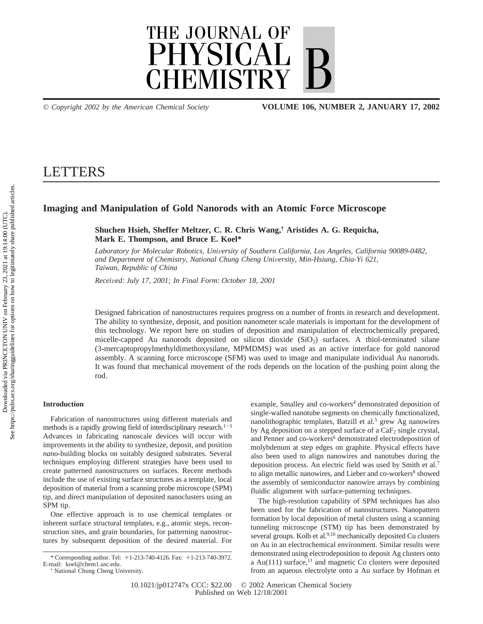

*© Copyright 2002 by the American Chemical Society* **VOLUME 106, NUMBER 2, JANUARY 17, 2002**

# **LETTERS**

# **Imaging and Manipulation of Gold Nanorods with an Atomic Force Microscope**

**Shuchen Hsieh, Sheffer Meltzer, C. R. Chris Wang,† Aristides A. G. Requicha, Mark E. Thompson, and Bruce E. Koel\***

*Laboratory for Molecular Robotics, Uni*V*ersity of Southern California, Los Angeles, California 90089-0482, and Department of Chemistry, National Chung Cheng University, Min-Hsiung, Chia-Yi 621, Taiwan, Republic of China*

*Recei*V*ed: July 17, 2001; In Final Form: October 18, 2001*

Designed fabrication of nanostructures requires progress on a number of fronts in research and development. The ability to synthesize, deposit, and position nanometer scale materials is important for the development of this technology. We report here on studies of deposition and manipulation of electrochemically prepared, micelle-capped Au nanorods deposited on silicon dioxide  $(SiO<sub>2</sub>)$  surfaces. A thiol-terminated silane (3-mercaptopropylmethyldimethoxysilane, MPMDMS) was used as an active interface for gold nanorod assembly. A scanning force microscope (SFM) was used to image and manipulate individual Au nanorods. It was found that mechanical movement of the rods depends on the location of the pushing point along the rod.

# **Introduction**

Fabrication of nanostructures using different materials and methods is a rapidly growing field of interdisciplinary research.<sup>1-3</sup> Advances in fabricating nanoscale devices will occur with improvements in the ability to synthesize, deposit, and position *nano-*building blocks on suitably designed substrates. Several techniques employing different strategies have been used to create patterned nanostructures on surfaces. Recent methods include the use of existing surface structures as a template, local deposition of material from a scanning probe microscope (SPM) tip, and direct manipulation of deposited nanoclusters using an SPM tip.

One effective approach is to use chemical templates or inherent surface structural templates, e.g., atomic steps, reconstruction sites, and grain boundaries, for patterning nanostructures by subsequent deposition of the desired material. For example, Smalley and co-workers<sup>4</sup> demonstrated deposition of single-walled nanotube segments on chemically functionalized, nanolithographic templates, Batzill et al.<sup>5</sup> grew Ag nanowires by Ag deposition on a stepped surface of a  $CaF<sub>2</sub>$  single crystal, and Penner and co-workers<sup>6</sup> demonstrated electrodeposition of molybdenum at step edges on graphite. Physical effects have also been used to align nanowires and nanotubes during the deposition process. An electric field was used by Smith et al.7 to align metallic nanowires, and Lieber and co-workers<sup>8</sup> showed the assembly of semiconductor nanowire arrays by combining fluidic alignment with surface-patterning techniques.

The high-resolution capability of SPM techniques has also been used for the fabrication of nanostructures. Nanopattern formation by local deposition of metal clusters using a scanning tunneling microscope (STM) tip has been demonstrated by several groups. Kolb et al.<sup>9,10</sup> mechanically deposited Cu clusters on Au in an electrochemical environment. Similar results were demonstrated using electrodeposition to deposit Ag clusters onto a Au(111) surface, $^{11}$  and magnetic Co clusters were deposited from an aqueous electrolyte onto a Au surface by Hofman et

<sup>\*</sup> Corresponding author. Tel: +1-213-740-4126. Fax: +1-213-740-3972. E-mail: koel@chem1.usc.edu.

<sup>†</sup> National Chung Cheng University.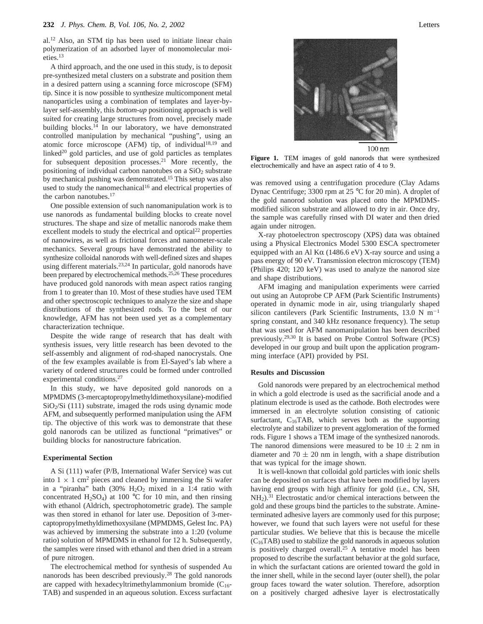al.12 Also, an STM tip has been used to initiate linear chain polymerization of an adsorbed layer of monomolecular moieties.13

A third approach, and the one used in this study, is to deposit pre-synthesized metal clusters on a substrate and position them in a desired pattern using a scanning force microscope (SFM) tip. Since it is now possible to synthesize multicomponent metal nanoparticles using a combination of templates and layer-bylayer self-assembly, this *bottom-up* positioning approach is well suited for creating large structures from novel, precisely made building blocks.<sup>14</sup> In our laboratory, we have demonstrated controlled manipulation by mechanical "pushing", using an atomic force microscope (AFM) tip, of individual<sup>18,19</sup> and linked $20$  gold particles, and use of gold particles as templates for subsequent deposition processes.<sup>21</sup> More recently, the positioning of individual carbon nanotubes on a  $SiO<sub>2</sub>$  substrate by mechanical pushing was demonstrated.<sup>15</sup> This setup was also used to study the nanomechanical<sup>16</sup> and electrical properties of the carbon nanotubes.<sup>17</sup>

One possible extension of such nanomanipulation work is to use nanorods as fundamental building blocks to create novel structures. The shape and size of metallic nanorods make them excellent models to study the electrical and optical $22$  properties of nanowires, as well as frictional forces and nanometer-scale mechanics. Several groups have demonstrated the ability to synthesize colloidal nanorods with well-defined sizes and shapes using different materials.23,24 In particular, gold nanorods have been prepared by electrochemical methods.<sup>25,26</sup> These procedures have produced gold nanorods with mean aspect ratios ranging from 1 to greater than 10. Most of these studies have used TEM and other spectroscopic techniques to analyze the size and shape distributions of the synthesized rods. To the best of our knowledge, AFM has not been used yet as a complementary characterization technique.

Despite the wide range of research that has dealt with synthesis issues, very little research has been devoted to the self-assembly and alignment of rod-shaped nanocrystals. One of the few examples available is from El-Sayed's lab where a variety of ordered structures could be formed under controlled experimental conditions.27

In this study, we have deposited gold nanorods on a MPMDMS (3-mercaptopropylmethyldimethoxysilane)-modified  $SiO<sub>2</sub>/Si$  (111) substrate, imaged the rods using dynamic mode AFM, and subsequently performed manipulation using the AFM tip. The objective of this work was to demonstrate that these gold nanorods can be utilized as functional "primatives" or building blocks for nanostructure fabrication.

#### **Experimental Section**

A Si (111) wafer (P/B, International Wafer Service) was cut into  $1 \times 1$  cm<sup>2</sup> pieces and cleaned by immersing the Si wafer in a "piranha" bath  $(30\% \text{ H}_2\text{O}_2 \text{ mixed in a } 1:4 \text{ ratio with})$ concentrated H<sub>2</sub>SO<sub>4</sub>) at 100 °C for 10 min, and then rinsing with ethanol (Aldrich, spectrophotometric grade). The sample was then stored in ethanol for later use. Deposition of 3-mercaptopropylmethyldimethoxysilane (MPMDMS, Gelest Inc. PA) was achieved by immersing the substrate into a 1:20 (volume ratio) solution of MPMDMS in ethanol for 12 h. Subsequently, the samples were rinsed with ethanol and then dried in a stream of pure nitrogen.

The electrochemical method for synthesis of suspended Au nanorods has been described previously.28 The gold nanorods are capped with hexadecyltrimethylammonium bromide  $(C_{16}$ -TAB) and suspended in an aqueous solution. Excess surfactant



 $100 \text{ nm}$ 

**Figure 1.** TEM images of gold nanorods that were synthesized electrochemically and have an aspect ratio of 4 to 9.

was removed using a centrifugation procedure (Clay Adams Dynac Centrifuge; 3300 rpm at 25 °C for 20 min). A droplet of the gold nanorod solution was placed onto the MPMDMSmodified silicon substrate and allowed to dry in air. Once dry, the sample was carefully rinsed with DI water and then dried again under nitrogen.

X-ray photoelectron spectroscopy (XPS) data was obtained using a Physical Electronics Model 5300 ESCA spectrometer equipped with an Al K $\alpha$  (1486.6 eV) X-ray source and using a pass energy of 90 eV. Transmission electron microscopy (TEM) (Philips 420; 120 keV) was used to analyze the nanorod size and shape distributions.

AFM imaging and manipulation experiments were carried out using an Autoprobe CP AFM (Park Scientific Instruments) operated in dynamic mode in air, using triangularly shaped silicon cantilevers (Park Scientific Instruments, 13.0 N  $m^{-1}$ spring constant, and 340 kHz resonance frequency). The setup that was used for AFM nanomanipulation has been described previously.29,30 It is based on Probe Control Software (PCS) developed in our group and built upon the application programming interface (API) provided by PSI.

### **Results and Discussion**

Gold nanorods were prepared by an electrochemical method in which a gold electrode is used as the sacrificial anode and a platinum electrode is used as the cathode. Both electrodes were immersed in an electrolyte solution consisting of cationic surfactant,  $C_{16}TAB$ , which serves both as the supporting electrolyte and stabilizer to prevent agglomeration of the formed rods. Figure 1 shows a TEM image of the synthesized nanorods. The nanorod dimensions were measured to be  $10 \pm 2$  nm in diameter and  $70 \pm 20$  nm in length, with a shape distribution that was typical for the image shown.

It is well-known that colloidal gold particles with ionic shells can be deposited on surfaces that have been modified by layers having end groups with high affinity for gold (i.e., CN, SH, NH<sub>2</sub>).<sup>31</sup> Electrostatic and/or chemical interactions between the gold and these groups bind the particles to the substrate. Amineterminated adhesive layers are commonly used for this purpose; however, we found that such layers were not useful for these particular studies. We believe that this is because the micelle  $(C_{16}TAB)$  used to stabilize the gold nanorods in aqueous solution is positively charged overall.25 A tentative model has been proposed to describe the surfactant behavior at the gold surface, in which the surfactant cations are oriented toward the gold in the inner shell, while in the second layer (outer shell), the polar group faces toward the water solution. Therefore, adsorption on a positively charged adhesive layer is electrostatically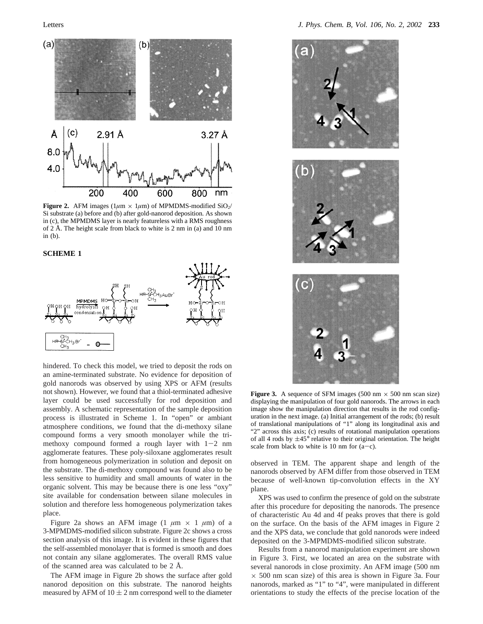

**Figure 2.** AFM images ( $1\mu$ m ×  $1\mu$ m) of MPMDMS-modified SiO<sub>2</sub>/ Si substrate (a) before and (b) after gold-nanorod deposition. As shown in (c), the MPMDMS layer is nearly featureless with a RMS roughness of 2 Å. The height scale from black to white is 2 nm in (a) and 10 nm in (b).

## **SCHEME 1**



hindered. To check this model, we tried to deposit the rods on an amine-terminated substrate. No evidence for deposition of gold nanorods was observed by using XPS or AFM (results not shown). However, we found that a thiol-terminated adhesive layer could be used successfully for rod deposition and assembly. A schematic representation of the sample deposition process is illustrated in Scheme 1. In "open" or ambiant atmosphere conditions, we found that the di-methoxy silane compound forms a very smooth monolayer while the trimethoxy compound formed a rough layer with  $1-2$  nm agglomerate features. These poly-siloxane agglomerates result from homogeneous polymerization in solution and deposit on the substrate. The di-methoxy compound was found also to be less sensitive to humidity and small amounts of water in the organic solvent. This may be because there is one less "oxy" site available for condensation between silane molecules in solution and therefore less homogeneous polymerization takes place.

Figure 2a shows an AFM image  $(1 \mu m \times 1 \mu m)$  of a 3-MPMDMS-modified silicon substrate. Figure 2c shows a cross section analysis of this image. It is evident in these figures that the self-assembled monolayer that is formed is smooth and does not contain any silane agglomerates. The overall RMS value of the scanned area was calculated to be 2 Å.

The AFM image in Figure 2b shows the surface after gold nanorod deposition on this substrate. The nanorod heights measured by AFM of  $10 \pm 2$  nm correspond well to the diameter



**Figure 3.** A sequence of SFM images (500 nm  $\times$  500 nm scan size) displaying the manipulation of four gold nanorods. The arrows in each image show the manipulation direction that results in the rod configuration in the next image. (a) Initial arrangement of the rods; (b) result of translational manipulations of "1" along its longitudinal axis and "2" across this axis; (c) results of rotational manipulation operations of all 4 rods by  $\pm 45^{\circ}$  relative to their original orientation. The height scale from black to white is 10 nm for  $(a-c)$ .

observed in TEM. The apparent shape and length of the nanorods observed by AFM differ from those observed in TEM because of well-known tip-convolution effects in the XY plane.

XPS was used to confirm the presence of gold on the substrate after this procedure for depositing the nanorods. The presence of characteristic Au 4d and 4f peaks proves that there is gold on the surface. On the basis of the AFM images in Figure 2 and the XPS data, we conclude that gold nanorods were indeed deposited on the 3-MPMDMS-modified silicon substrate.

Results from a nanorod manipulation experiment are shown in Figure 3. First, we located an area on the substrate with several nanorods in close proximity. An AFM image (500 nm  $\times$  500 nm scan size) of this area is shown in Figure 3a. Four nanorods, marked as "1" to "4", were manipulated in different orientations to study the effects of the precise location of the